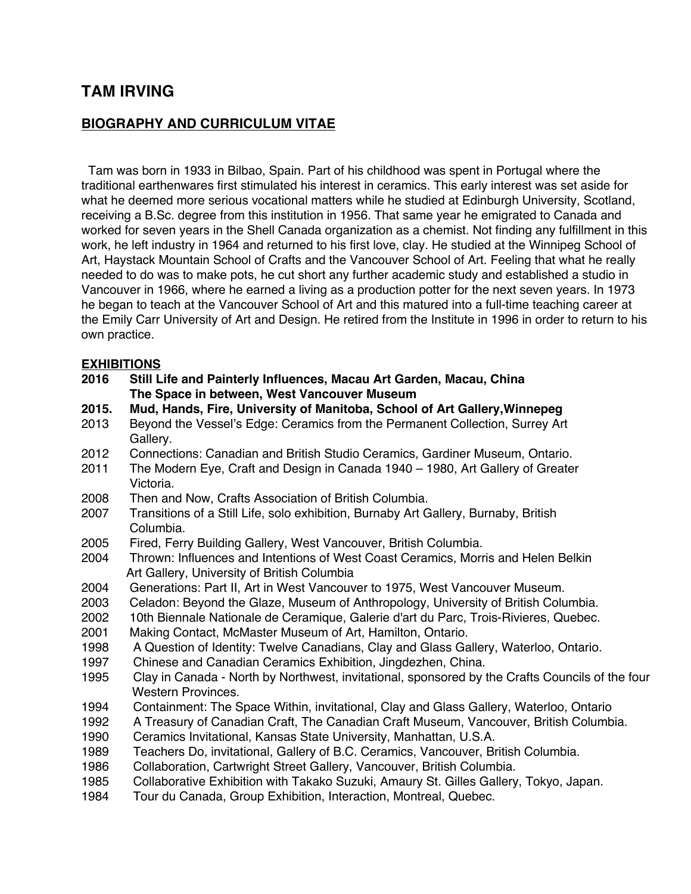# **TAM IRVING**

### **BIOGRAPHY AND CURRICULUM VITAE**

 Tam was born in 1933 in Bilbao, Spain. Part of his childhood was spent in Portugal where the traditional earthenwares first stimulated his interest in ceramics. This early interest was set aside for what he deemed more serious vocational matters while he studied at Edinburgh University, Scotland, receiving a B.Sc. degree from this institution in 1956. That same year he emigrated to Canada and worked for seven years in the Shell Canada organization as a chemist. Not finding any fulfillment in this work, he left industry in 1964 and returned to his first love, clay. He studied at the Winnipeg School of Art, Haystack Mountain School of Crafts and the Vancouver School of Art. Feeling that what he really needed to do was to make pots, he cut short any further academic study and established a studio in Vancouver in 1966, where he earned a living as a production potter for the next seven years. In 1973 he began to teach at the Vancouver School of Art and this matured into a full-time teaching career at the Emily Carr University of Art and Design. He retired from the Institute in 1996 in order to return to his own practice.

#### **EXHIBITIONS**

- **2016 Still Life and Painterly Influences, Macau Art Garden, Macau, China The Space in between, West Vancouver Museum**
- **2015. Mud, Hands, Fire, University of Manitoba, School of Art Gallery,Winnepeg**
- 2013 Beyond the Vessel's Edge: Ceramics from the Permanent Collection, Surrey Art Gallery.
- 2012 Connections: Canadian and British Studio Ceramics, Gardiner Museum, Ontario.
- 2011 The Modern Eye, Craft and Design in Canada 1940 1980, Art Gallery of Greater Victoria.
- 2008 Then and Now, Crafts Association of British Columbia.
- 2007 Transitions of a Still Life, solo exhibition, Burnaby Art Gallery, Burnaby, British Columbia.
- 2005 Fired, Ferry Building Gallery, West Vancouver, British Columbia.
- 2004 Thrown: Influences and Intentions of West Coast Ceramics, Morris and Helen Belkin Art Gallery, University of British Columbia
- 2004 Generations: Part II, Art in West Vancouver to 1975, West Vancouver Museum.
- 2003 Celadon: Beyond the Glaze, Museum of Anthropology, University of British Columbia.
- 2002 10th Biennale Nationale de Ceramique, Galerie d'art du Parc, Trois-Rivieres, Quebec.
- 2001 Making Contact, McMaster Museum of Art, Hamilton, Ontario.
- 1998 A Question of Identity: Twelve Canadians, Clay and Glass Gallery, Waterloo, Ontario.
- 1997 Chinese and Canadian Ceramics Exhibition, Jingdezhen, China.
- 1995 Clay in Canada North by Northwest, invitational, sponsored by the Crafts Councils of the four Western Provinces.
- 1994 Containment: The Space Within, invitational, Clay and Glass Gallery, Waterloo, Ontario
- 1992 A Treasury of Canadian Craft, The Canadian Craft Museum, Vancouver, British Columbia.
- 1990 Ceramics Invitational, Kansas State University, Manhattan, U.S.A.
- 1989 Teachers Do, invitational, Gallery of B.C. Ceramics, Vancouver, British Columbia.
- 1986 Collaboration, Cartwright Street Gallery, Vancouver, British Columbia.
- 1985 Collaborative Exhibition with Takako Suzuki, Amaury St. Gilles Gallery, Tokyo, Japan.
- 1984 Tour du Canada, Group Exhibition, Interaction, Montreal, Quebec.